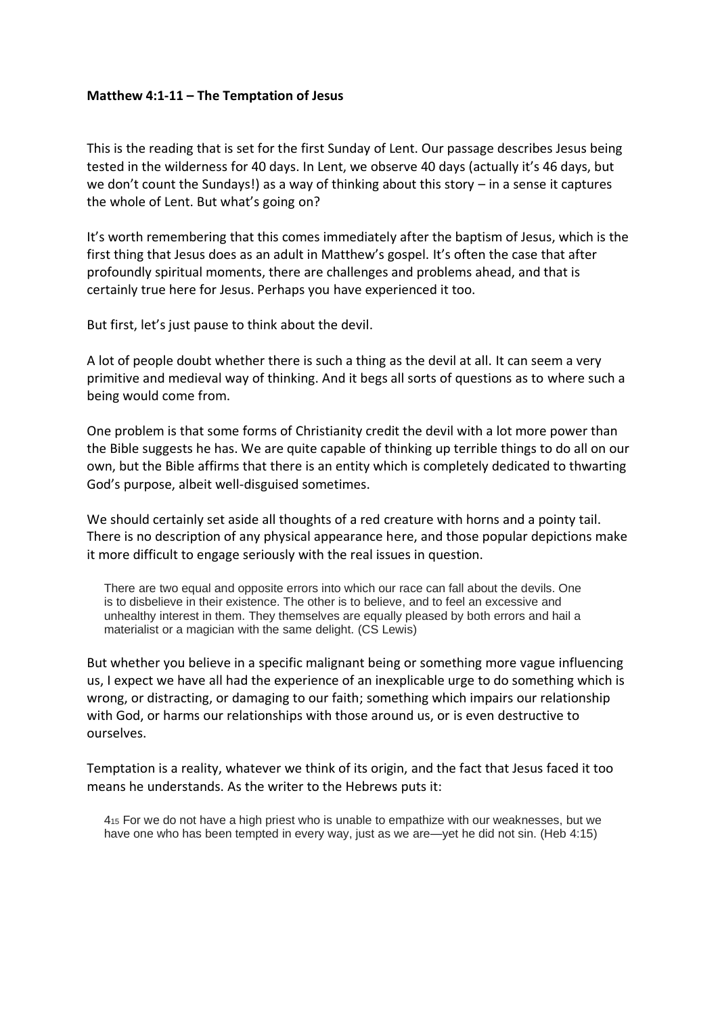### **Matthew 4:1-11 – The Temptation of Jesus**

This is the reading that is set for the first Sunday of Lent. Our passage describes Jesus being tested in the wilderness for 40 days. In Lent, we observe 40 days (actually it's 46 days, but we don't count the Sundays!) as a way of thinking about this story – in a sense it captures the whole of Lent. But what's going on?

It's worth remembering that this comes immediately after the baptism of Jesus, which is the first thing that Jesus does as an adult in Matthew's gospel. It's often the case that after profoundly spiritual moments, there are challenges and problems ahead, and that is certainly true here for Jesus. Perhaps you have experienced it too.

But first, let's just pause to think about the devil.

A lot of people doubt whether there is such a thing as the devil at all. It can seem a very primitive and medieval way of thinking. And it begs all sorts of questions as to where such a being would come from.

One problem is that some forms of Christianity credit the devil with a lot more power than the Bible suggests he has. We are quite capable of thinking up terrible things to do all on our own, but the Bible affirms that there is an entity which is completely dedicated to thwarting God's purpose, albeit well-disguised sometimes.

We should certainly set aside all thoughts of a red creature with horns and a pointy tail. There is no description of any physical appearance here, and those popular depictions make it more difficult to engage seriously with the real issues in question.

There are two equal and opposite errors into which our race can fall about the devils. One is to disbelieve in their existence. The other is to believe, and to feel an excessive and unhealthy interest in them. They themselves are equally pleased by both errors and hail a materialist or a magician with the same delight. (CS Lewis)

But whether you believe in a specific malignant being or something more vague influencing us, I expect we have all had the experience of an inexplicable urge to do something which is wrong, or distracting, or damaging to our faith; something which impairs our relationship with God, or harms our relationships with those around us, or is even destructive to ourselves.

Temptation is a reality, whatever we think of its origin, and the fact that Jesus faced it too means he understands. As the writer to the Hebrews puts it:

4<sup>15</sup> For we do not have a high priest who is unable to empathize with our weaknesses, but we have one who has been tempted in every way, just as we are—yet he did not sin. (Heb 4:15)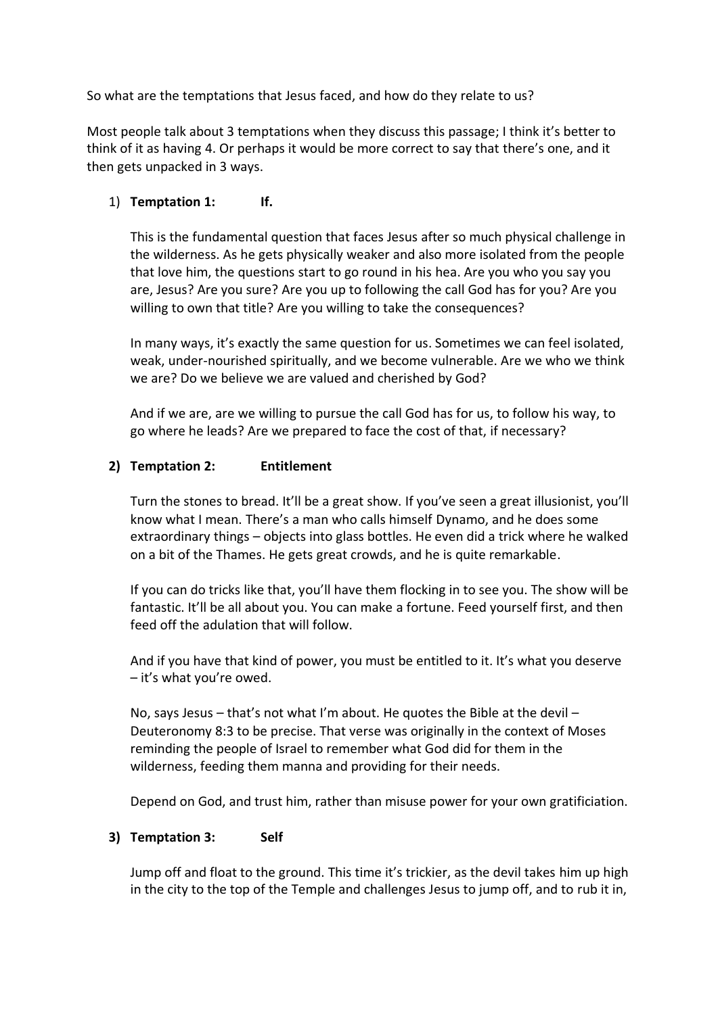So what are the temptations that Jesus faced, and how do they relate to us?

Most people talk about 3 temptations when they discuss this passage; I think it's better to think of it as having 4. Or perhaps it would be more correct to say that there's one, and it then gets unpacked in 3 ways.

# 1) **Temptation 1: If.**

This is the fundamental question that faces Jesus after so much physical challenge in the wilderness. As he gets physically weaker and also more isolated from the people that love him, the questions start to go round in his hea. Are you who you say you are, Jesus? Are you sure? Are you up to following the call God has for you? Are you willing to own that title? Are you willing to take the consequences?

In many ways, it's exactly the same question for us. Sometimes we can feel isolated, weak, under-nourished spiritually, and we become vulnerable. Are we who we think we are? Do we believe we are valued and cherished by God?

And if we are, are we willing to pursue the call God has for us, to follow his way, to go where he leads? Are we prepared to face the cost of that, if necessary?

## **2) Temptation 2: Entitlement**

Turn the stones to bread. It'll be a great show. If you've seen a great illusionist, you'll know what I mean. There's a man who calls himself Dynamo, and he does some extraordinary things – objects into glass bottles. He even did a trick where he walked on a bit of the Thames. He gets great crowds, and he is quite remarkable.

If you can do tricks like that, you'll have them flocking in to see you. The show will be fantastic. It'll be all about you. You can make a fortune. Feed yourself first, and then feed off the adulation that will follow.

And if you have that kind of power, you must be entitled to it. It's what you deserve – it's what you're owed.

No, says Jesus – that's not what I'm about. He quotes the Bible at the devil – Deuteronomy 8:3 to be precise. That verse was originally in the context of Moses reminding the people of Israel to remember what God did for them in the wilderness, feeding them manna and providing for their needs.

Depend on God, and trust him, rather than misuse power for your own gratificiation.

### **3) Temptation 3: Self**

Jump off and float to the ground. This time it's trickier, as the devil takes him up high in the city to the top of the Temple and challenges Jesus to jump off, and to rub it in,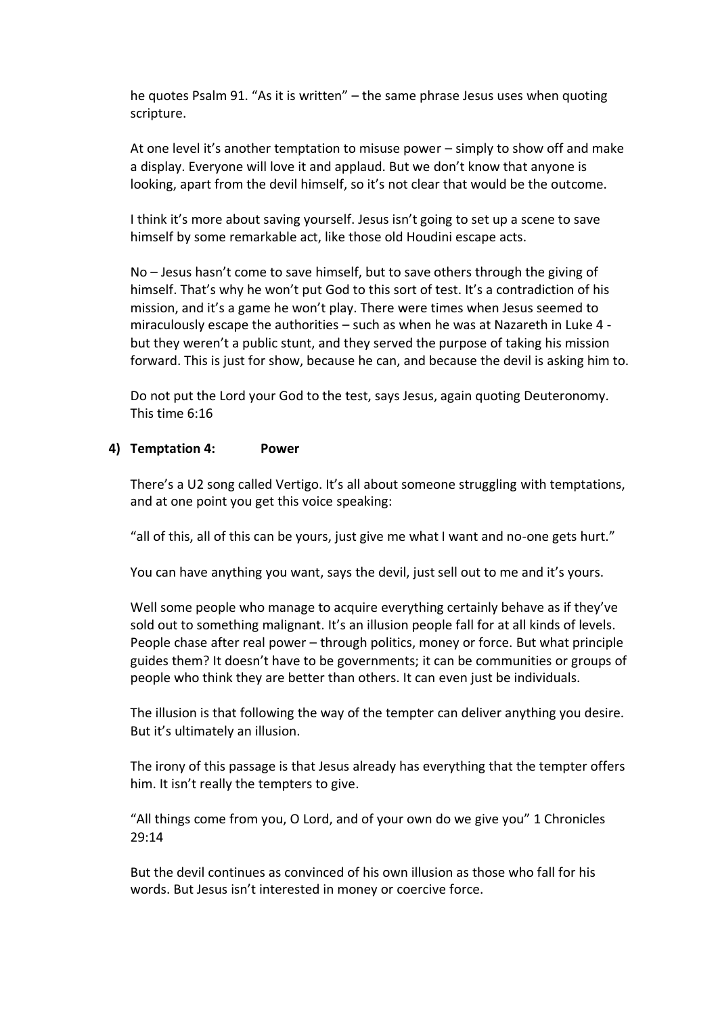he quotes Psalm 91. "As it is written" – the same phrase Jesus uses when quoting scripture.

At one level it's another temptation to misuse power – simply to show off and make a display. Everyone will love it and applaud. But we don't know that anyone is looking, apart from the devil himself, so it's not clear that would be the outcome.

I think it's more about saving yourself. Jesus isn't going to set up a scene to save himself by some remarkable act, like those old Houdini escape acts.

No – Jesus hasn't come to save himself, but to save others through the giving of himself. That's why he won't put God to this sort of test. It's a contradiction of his mission, and it's a game he won't play. There were times when Jesus seemed to miraculously escape the authorities – such as when he was at Nazareth in Luke 4 but they weren't a public stunt, and they served the purpose of taking his mission forward. This is just for show, because he can, and because the devil is asking him to.

Do not put the Lord your God to the test, says Jesus, again quoting Deuteronomy. This time 6:16

### **4) Temptation 4: Power**

There's a U2 song called Vertigo. It's all about someone struggling with temptations, and at one point you get this voice speaking:

"all of this, all of this can be yours, just give me what I want and no-one gets hurt."

You can have anything you want, says the devil, just sell out to me and it's yours.

Well some people who manage to acquire everything certainly behave as if they've sold out to something malignant. It's an illusion people fall for at all kinds of levels. People chase after real power – through politics, money or force. But what principle guides them? It doesn't have to be governments; it can be communities or groups of people who think they are better than others. It can even just be individuals.

The illusion is that following the way of the tempter can deliver anything you desire. But it's ultimately an illusion.

The irony of this passage is that Jesus already has everything that the tempter offers him. It isn't really the tempters to give.

"All things come from you, O Lord, and of your own do we give you" 1 Chronicles 29:14

But the devil continues as convinced of his own illusion as those who fall for his words. But Jesus isn't interested in money or coercive force.